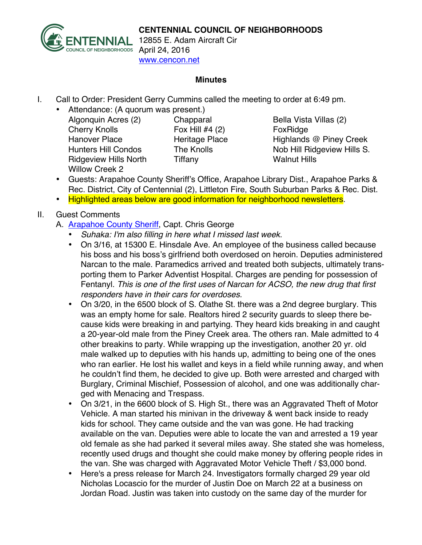

12855 E. Adam Aircraft Cir April 24, 2016 www.cencon.net

## **Minutes**

- I. Call to Order: President Gerry Cummins called the meeting to order at 6:49 pm.
	- Attendance: (A quorum was present.)
		- Algonquin Acres (2) Chapparal Bella Vista Villas (2) Cherry Knolls **Fox Hill #4 (2)** FoxRidge Ridgeview Hills North Tiffany The Walnut Hills Willow Creek 2

Hanover Place **Heritage Place** Highlands @ Piney Creek Hunters Hill Condos The Knolls Nob Hill Ridgeview Hills S.

- Guests: Arapahoe County Sheriff's Office, Arapahoe Library Dist., Arapahoe Parks & Rec. District, City of Centennial (2), Littleton Fire, South Suburban Parks & Rec. Dist.
- Highlighted areas below are good information for neighborhood newsletters.

## II. Guest Comments

- A. [Arapahoe County Sheriff,](http://www.arapahoesheriff.org) Capt. Chris George
	- *Suhaka: I'm also filling in here what I missed last week*.
	- On 3/16, at 15300 E. Hinsdale Ave. An employee of the business called because his boss and his boss's girlfriend both overdosed on heroin. Deputies administered Narcan to the male. Paramedics arrived and treated both subjects, ultimately transporting them to Parker Adventist Hospital. Charges are pending for possession of Fentanyl. *This is one of the first uses of Narcan for ACSO, the new drug that first responders have in their cars for overdoses.*
	- On 3/20, in the 6500 block of S. Olathe St. there was a 2nd degree burglary. This was an empty home for sale. Realtors hired 2 security guards to sleep there because kids were breaking in and partying. They heard kids breaking in and caught a 20-year-old male from the Piney Creek area. The others ran. Male admitted to 4 other breakins to party. While wrapping up the investigation, another 20 yr. old male walked up to deputies with his hands up, admitting to being one of the ones who ran earlier. He lost his wallet and keys in a field while running away, and when he couldn't find them, he decided to give up. Both were arrested and charged with Burglary, Criminal Mischief, Possession of alcohol, and one was additionally charged with Menacing and Trespass.
	- On 3/21, in the 6600 block of S. High St., there was an Aggravated Theft of Motor Vehicle. A man started his minivan in the driveway & went back inside to ready kids for school. They came outside and the van was gone. He had tracking available on the van. Deputies were able to locate the van and arrested a 19 year old female as she had parked it several miles away. She stated she was homeless, recently used drugs and thought she could make money by offering people rides in the van. She was charged with Aggravated Motor Vehicle Theft / \$3,000 bond.
	- Here's a press release for March 24. Investigators formally charged 29 year old Nicholas Locascio for the murder of Justin Doe on March 22 at a business on Jordan Road. Justin was taken into custody on the same day of the murder for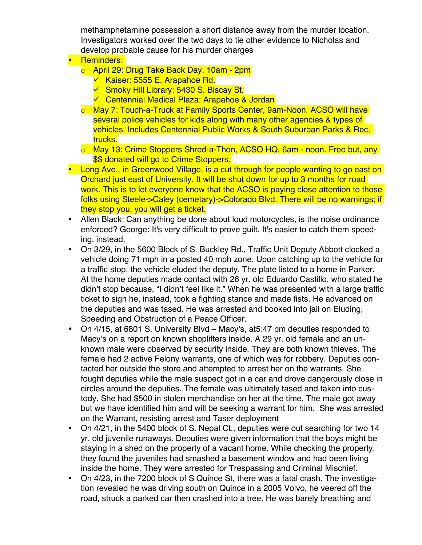methamphetamine possession a short distance away from the murder location. Investigators worked over the two days to tie other evidence to Nicholas and develop probable cause for his murder charges

- **Reminders:** 
	- o April 29: Drug Take Back Day, 10am 2pm
		- $\checkmark$  Kaiser: 5555 E. Arapahoe Rd.
		- $\checkmark$  Smoky Hill Library: 5430 S. Biscay St.
		- $\checkmark$  Centennial Medical Plaza: Arapahoe & Jordan
	- o May 7: Touch-a-Truck at Family Sports Center, 9am-Noon. ACSO will have several police vehicles for kids along with many other agencies & types of vehicles. Includes Centennial Public Works & South Suburban Parks & Rec. trucks.
	- o May 13: Crime Stoppers Shred-a-Thon, ACSO HQ, 6am noon. Free but, any \$\$ donated will go to Crime Stoppers.
- Long Ave., in Greenwood Village, is a cut through for people wanting to go east on Orchard just east of University. It will be shut down for up to 3 months for road work. This is to let everyone know that the ACSO is paying close attention to those folks using Steele->Caley (cemetary)->Colorado Blvd. There will be no warnings; if they stop you, you will get a ticket.
- Allen Black: Can anything be done about loud motorcycles, is the noise ordinance enforced? George: It's very difficult to prove guilt. It's easier to catch them speeding, instead.
- On 3/29, in the 5600 Block of S. Buckley Rd., Traffic Unit Deputy Abbott clocked a vehicle doing 71 mph in a posted 40 mph zone. Upon catching up to the vehicle for a traffic stop, the vehicle eluded the deputy. The plate listed to a home in Parker. At the home deputies made contact with 26 yr. old Eduardo Castillo, who stated he didn't stop because, "I didn't feel like it." When he was presented with a large traffic ticket to sign he, instead, took a fighting stance and made fists. He advanced on the deputies and was tased. He was arrested and booked into jail on Eluding, Speeding and Obstruction of a Peace Officer.
- On 4/15, at 6801 S. University Blvd Macy's, at5:47 pm deputies responded to Macy's on a report on known shoplifters inside. A 29 yr. old female and an unknown male were observed by security inside. They are both known thieves. The female had 2 active Felony warrants, one of which was for robbery. Deputies contacted her outside the store and attempted to arrest her on the warrants. She fought deputies while the male suspect got in a car and drove dangerously close in circles around the deputies. The female was ultimately tased and taken into custody. She had \$500 in stolen merchandise on her at the time. The male got away but we have identified him and will be seeking a warrant for him. She was arrested on the Warrant, resisting arrest and Taser deployment
- On 4/21, in the 5400 block of S. Nepal Ct., deputies were out searching for two 14 yr. old juvenile runaways. Deputies were given information that the boys might be staying in a shed on the property of a vacant home. While checking the property, they found the juveniles had smashed a basement window and had been living inside the home. They were arrested for Trespassing and Criminal Mischief.
- On 4/23, in the 7200 block of S Quince St, there was a fatal crash. The investigation revealed he was driving south on Quince in a 2005 Volvo, he veered off the road, struck a parked car then crashed into a tree. He was barely breathing and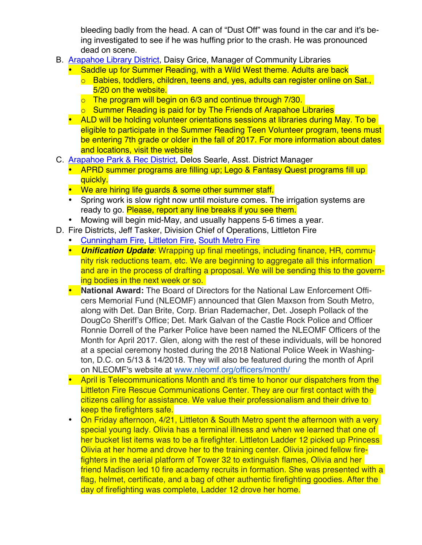bleeding badly from the head. A can of "Dust Off" was found in the car and it's being investigated to see if he was huffing prior to the crash. He was pronounced dead on scene.

- B. **Arapahoe Library District**, Daisy Grice, Manager of Community Libraries
	- Saddle up for Summer Reading, with a Wild West theme. Adults are back
		- o Babies, toddlers, children, teens and, yes, adults can register online on Sat., 5/20 on the website.
		- $\circ$  The program will begin on 6/3 and continue through 7/30.
		- o Summer Reading is paid for by The Friends of Arapahoe Libraries
	- ALD will be holding volunteer orientations sessions at libraries during May. To be eligible to participate in the Summer Reading Teen Volunteer program, teens must be entering 7th grade or older in the fall of 2017. For more information about dates and locations, visit the website
- C. [Arapahoe Park & Rec District,](http://www.aprd.org) Delos Searle, Asst. District Manager
	- APRD summer programs are filling up; Lego & Fantasy Quest programs fill up auickly.
	- We are hiring life guards & some other summer staff.
	- Spring work is slow right now until moisture comes. The irrigation systems are ready to go. Please, report any line breaks if you see them.
	- Mowing will begin mid-May, and usually happens 5-6 times a year.
- D. Fire Districts, Jeff Tasker, Division Chief of Operations, Littleton Fire
	- [Cunningham Fire](http://www.cfpd.org), [Littleton Fire](http://www.littletongov.org/fire), [South Metro Fire](http://www.southmetro.org)
	- *Unification Update*: Wrapping up final meetings, including finance, HR, community risk reductions team, etc. We are beginning to aggregate all this information and are in the process of drafting a proposal. We will be sending this to the governing bodies in the next week or so.
	- **National Award:** The Board of Directors for the National Law Enforcement Officers Memorial Fund (NLEOMF) announced that Glen Maxson from South Metro, along with Det. Dan Brite, Corp. Brian Rademacher, Det. Joseph Pollack of the DougCo Sheriff's Office; Det. Mark Galvan of the Castle Rock Police and Officer Ronnie Dorrell of the Parker Police have been named the NLEOMF Officers of the Month for April 2017. Glen, along with the rest of these individuals, will be honored at a special ceremony hosted during the 2018 National Police Week in Washington, D.C. on 5/13 & 14/2018. They will also be featured during the month of April on NLEOMF's website at www.nleomf.org/officers/month/
	- April is Telecommunications Month and it's time to honor our dispatchers from the Littleton Fire Rescue Communications Center. They are our first contact with the citizens calling for assistance. We value their professionalism and their drive to keep the firefighters safe.
	- On Friday afternoon, 4/21, Littleton & South Metro spent the afternoon with a very special young lady. Olivia has a terminal illness and when we learned that one of her bucket list items was to be a firefighter. Littleton Ladder 12 picked up Princess Olivia at her home and drove her to the training center. Olivia joined fellow firefighters in the aerial platform of Tower 32 to extinguish flames, Olivia and her friend Madison led 10 fire academy recruits in formation. She was presented with a flag, helmet, certificate, and a bag of other authentic firefighting goodies. After the day of firefighting was complete, Ladder 12 drove her home.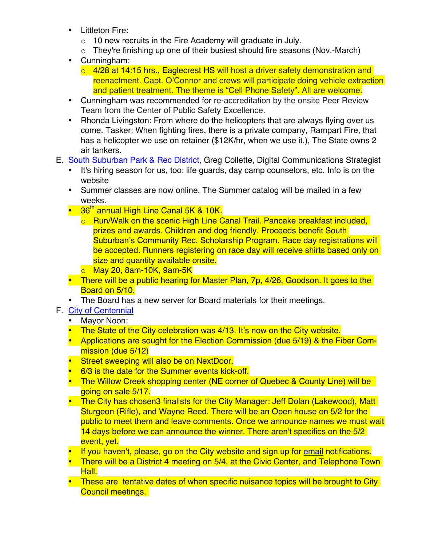- Littleton Fire:
	- $\circ$  10 new recruits in the Fire Academy will graduate in July.
	- o They're finishing up one of their busiest should fire seasons (Nov.-March)
- Cunningham:
	- o 4/28 at 14:15 hrs., Eaglecrest HS will host a driver safety demonstration and reenactment. Capt. O'Connor and crews will participate doing vehicle extraction and patient treatment. The theme is "Cell Phone Safety". All are welcome.
- Cunningham was recommended for re-accreditation by the onsite Peer Review Team from the Center of Public Safety Excellence.
- Rhonda Livingston: From where do the helicopters that are always flying over us come. Tasker: When fighting fires, there is a private company, Rampart Fire, that has a helicopter we use on retainer (\$12K/hr, when we use it.), The State owns 2 air tankers.
- E. [South Suburban Park & Rec District,](http://www.SSPR.org) Greg Collette, Digital Communications Strategist
	- It's hiring season for us, too: life guards, day camp counselors, etc. Info is on the website
	- Summer classes are now online. The Summer catalog will be mailed in a few weeks.
	- 36<sup>th</sup> annual High Line Canal 5K & 10K.
		- o Run/Walk on the scenic High Line Canal Trail. Pancake breakfast included, prizes and awards. Children and dog friendly. Proceeds benefit South Suburban's Community Rec. Scholarship Program. Race day registrations will be accepted. Runners registering on race day will receive shirts based only on size and quantity available onsite.
		- o May 20, 8am-10K, 9am-5K
	- There will be a public hearing for Master Plan, 7p, 4/26, Goodson. It goes to the Board on 5/10.
	- The Board has a new server for Board materials for their meetings.
- F. [City of Centennial](http://www.centennialco.gov)
	- Mayor Noon:
	- The State of the City celebration was 4/13. It's now on the City website.
	- Applications are sought for the Election Commission (due 5/19) & the Fiber Commission (due 5/12)
	- Street sweeping will also be on NextDoor.
	- 6/3 is the date for the Summer events kick-off.
	- The Willow Creek shopping center (NE corner of Quebec & County Line) will be going on sale 5/17.
	- The City has chosen3 finalists for the City Manager: Jeff Dolan (Lakewood), Matt Sturgeon (Rifle), and Wayne Reed. There will be an Open house on 5/2 for the public to meet them and leave comments. Once we announce names we must wait 14 days before we can announce the winner. There aren't specifics on the 5/2 event, yet.
	- If you haven't, please, go on the City website and sign up for [email](http://notifications.centennialco.gov) notifications.
	- There will be a District 4 meeting on 5/4, at the Civic Center, and Telephone Town Hall.
	- These are tentative dates of when specific nuisance topics will be brought to City Council meetings.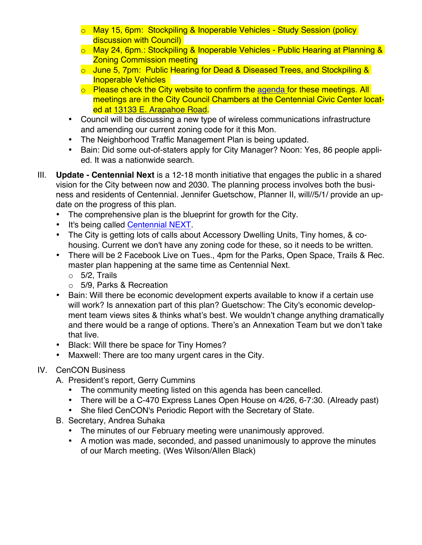- o May 15, 6pm: Stockpiling & Inoperable Vehicles Study Session (policy discussion with Council)
- o May 24, 6pm.: Stockpiling & Inoperable Vehicles Public Hearing at Planning & Zoning Commission meeting
- o June 5, 7pm: Public Hearing for Dead & Diseased Trees, and Stockpiling & Inoperable Vehicles
- o Please check the City website to confirm the [agenda](http://www.centennialco.gov/Mayor-Council/agendas-minutes-and-audio.aspx) for these meetings. All meetings are in the City Council Chambers at the Centennial Civic Center located at 13133 E. Arapahoe Road.
- Council will be discussing a new type of wireless communications infrastructure and amending our current zoning code for it this Mon.
- The Neighborhood Traffic Management Plan is being updated.
- Bain: Did some out-of-staters apply for City Manager? Noon: Yes, 86 people applied. It was a nationwide search.
- III. **Update - Centennial Next** is a 12-18 month initiative that engages the public in a shared vision for the City between now and 2030. The planning process involves both the business and residents of Centennial. Jennifer Guetschow, Planner II, will//5/1/ provide an update on the progress of this plan.
	- The comprehensive plan is the blueprint for growth for the City.
	- It's being called [Centennial NEXT.](http://www.centennialco.gov/centennialnext)
	- The City is getting lots of calls about Accessory Dwelling Units, Tiny homes, & cohousing. Current we don't have any zoning code for these, so it needs to be written.
	- There will be 2 Facebook Live on Tues., 4pm for the Parks, Open Space, Trails & Rec. master plan happening at the same time as Centennial Next.
		- $\circ$  5/2, Trails
		- o 5/9, Parks & Recreation
	- Bain: Will there be economic development experts available to know if a certain use will work? Is annexation part of this plan? Guetschow: The City's economic development team views sites & thinks what's best. We wouldn't change anything dramatically and there would be a range of options. There's an Annexation Team but we don't take that live.
	- Black: Will there be space for Tiny Homes?
	- Maxwell: There are too many urgent cares in the City.

## IV. CenCON Business

- A. President's report, Gerry Cummins
	- The community meeting listed on this agenda has been cancelled.
	- There will be a C-470 Express Lanes Open House on 4/26, 6-7:30. (Already past)
	- She filed CenCON's Periodic Report with the Secretary of State.
- B. Secretary, Andrea Suhaka
	- The minutes of our February meeting were unanimously approved.
	- A motion was made, seconded, and passed unanimously to approve the minutes of our March meeting. (Wes Wilson/Allen Black)